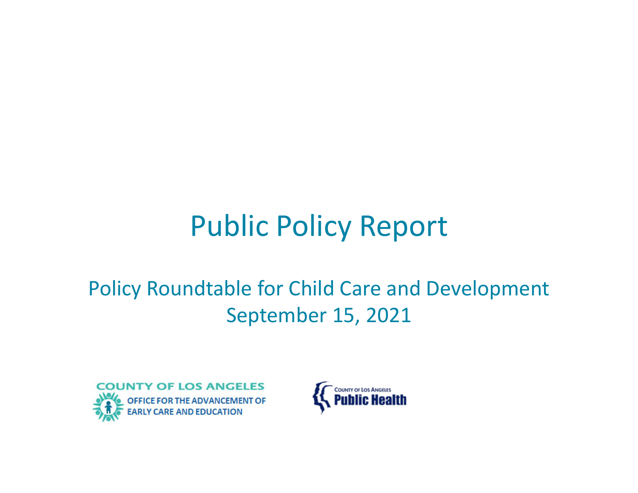# Public Policy Report

### Policy Roundtable for Child Care and Development September 15, 2021



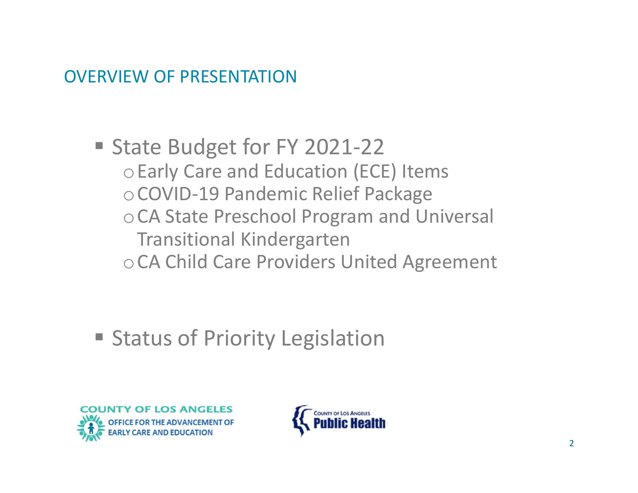#### OVERVIEW OF PRESENTATION

■ State Budget for FY 2021-22 <sup>o</sup>Early Care and Education (ECE) Items <sup>o</sup>COVID‐19 Pandemic Relief Package oCA State Preschool Program and Universal Transitional Kindergarten oCA Child Care Providers United Agreement

**Status of Priority Legislation** 



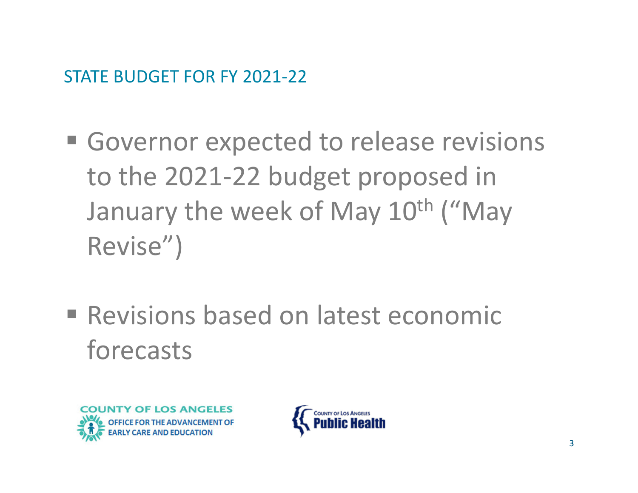STATE BUDGET FOR FY 2021‐22

- **Governor expected to release revisions** to the 2021‐22 budget proposed in January the week of May 10<sup>th</sup> ("May Revise")
- **Revisions based on latest economic** forecasts



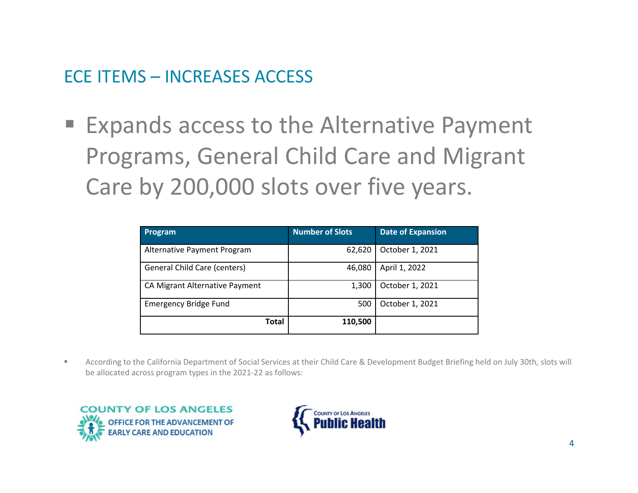#### ECE ITEMS – INCREASES ACCESS

 Expands access to the Alternative Payment Programs, General Child Care and Migrant Care by 200,000 slots over five years.

| <b>Program</b>                 | <b>Number of Slots</b> | <b>Date of Expansion</b> |
|--------------------------------|------------------------|--------------------------|
| Alternative Payment Program    | 62,620                 | October 1, 2021          |
| General Child Care (centers)   | 46,080                 | April 1, 2022            |
| CA Migrant Alternative Payment | 1,300                  | October 1, 2021          |
| <b>Emergency Bridge Fund</b>   | 500                    | October 1, 2021          |
| Total                          | 110,500                |                          |

 $\blacksquare$  According to the California Department of Social Services at their Child Care & Development Budget Briefing held on July 30th, slots will be allocated across program types in the 2021‐22 as follows:



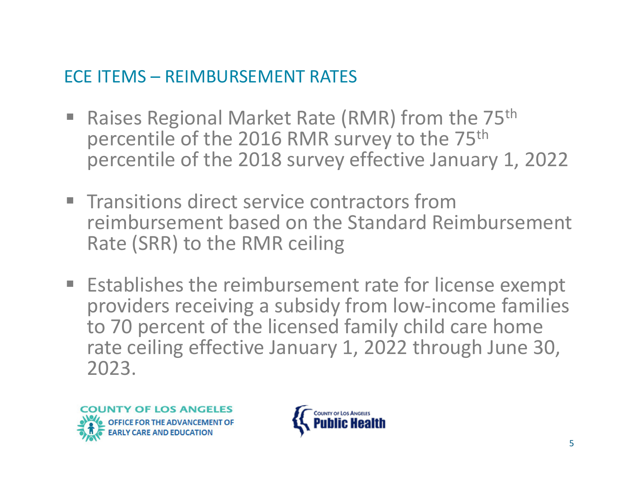#### ECE ITEMS – REIMBURSEMENT RATES

- π Raises Regional Market Rate (RMR) from the 75th percentile of the 2016 RMR survey to the 75<sup>th</sup> percentile of the 2018 survey effective January 1, 2022
- **Transitions direct service contractors from** reimbursement based on the Standard Reimbursement Rate (SRR) to the RMR ceiling
- **Establishes the reimbursement rate for license exempt** providers receiving <sup>a</sup> subsidy from low‐income families to 70 percent of the licensed family child care home rate ceiling effective January 1, 2022 through June 30, 2023.



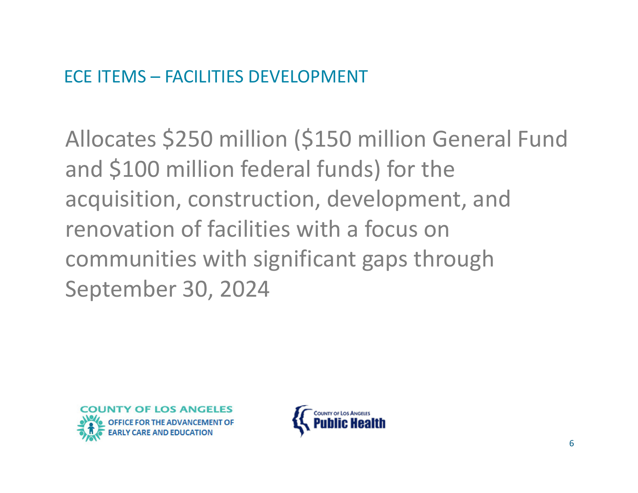Allocates \$250 million (\$150 million General Fund and \$100 million federal funds) for the acquisition, construction, development, and renovation of facilities with <sup>a</sup> focus on communities with significant gaps through September 30, 2024



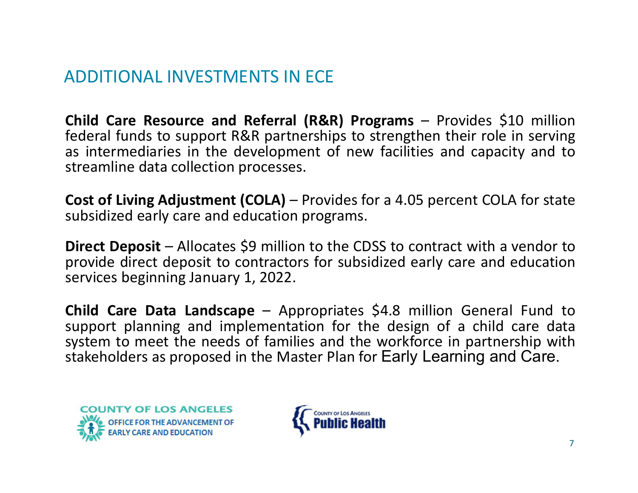#### ADDITIONAL INVESTMENTS IN ECE

**Child Care Resource and Referral (R&R) Programs** – Provides \$10 million federal funds to support R&R partnerships to strengthen their role in serving as intermediaries in the development of new facilities and capacity and to streamline data collection processes.

**Cost of Living Adjustment (COLA)** – Provides for <sup>a</sup> 4.05 percent COLA for state subsidized early care and education programs.

**Direct Deposit** – Allocates \$9 million to the CDSS to contract with a vendor to provide direct deposit to contractors for subsidized early care and education services beginning January 1, 2022.

**Child Care Data Landscape** – Appropriates \$4.8 million General Fund to support planning and implementation for the design of <sup>a</sup> child care data system to meet the needs of families and the workforce in partnership with stakeholders as proposed in the Master Plan for Early Learning and Care.



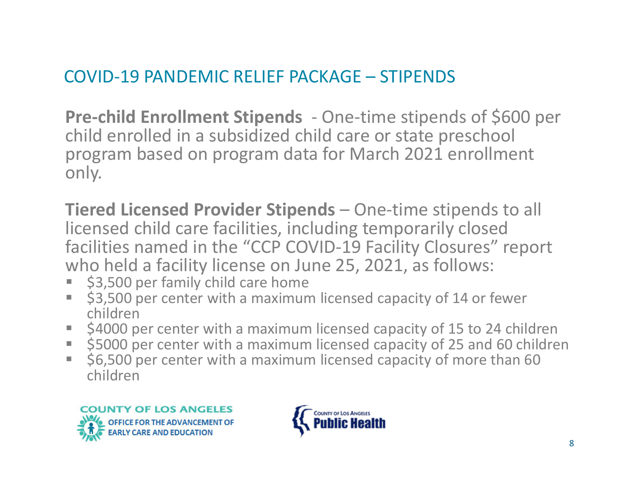#### COVID‐19 PANDEMIC RELIEF PACKAGE – STIPENDS

**Pre‐child Enrollment Stipends** ‐ One‐time stipends of \$600 per child enrolled in <sup>a</sup> subsidized child care or state preschool program based on program data for March 2021 enrollment only.

**Tiered Licensed Provider Stipends** – One‐time stipends to all licensed child care facilities, including temporarily closed facilities named in the "CCP COVID‐19 Facility Closures" report who held <sup>a</sup> facility license on June 25, 2021, as follows:

- Г \$3,500 per family child care home
- \$3,500 per center with a maximum licensed capacity of 14 or fewer children
- h. \$4000 per center with a maximum licensed capacity of 15 to 24 children
- \$5000 per center with a maximum licensed capacity of 25 and 60 children
- $\overline{\mathcal{M}}$  \$6,500 per center with <sup>a</sup> maximum licensed capacity of more than 60 children



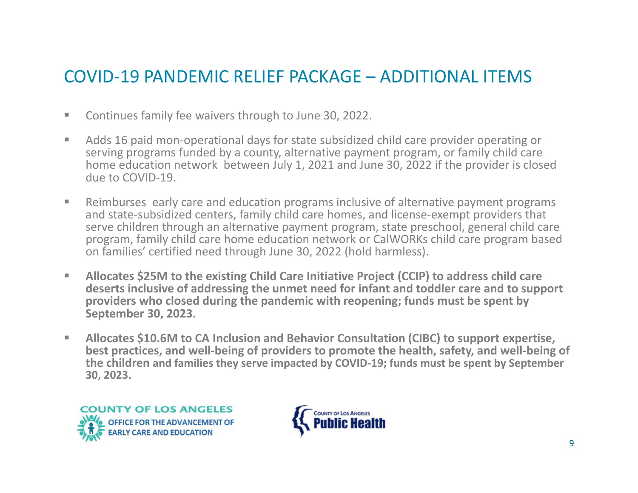#### COVID‐19 PANDEMIC RELIEF PACKAGE – ADDITIONAL ITEMS

- $\mathcal{C}$ Continues family fee waivers through to June 30, 2022.
- $\sim$ ■ Adds 16 paid mon-operational days for state subsidized child care provider operating or serving programs funded by <sup>a</sup> county, alternative payment program, or family child care home education network between July 1, 2021 and June 30, 2022 if the provider is closed due to COVID‐19.
- $\mathcal{L}_{\mathcal{A}}$  Reimburses early care and education programs inclusive of alternative payment programs and state‐subsidized centers, family child care homes, and license‐exempt providers that serve children through an alternative payment program, state preschool, general child care program, family child care home education network or CalWORKs child care program based on families' certified need through June 30, 2022 (hold harmless).
- $\mathcal{L}_{\mathcal{A}}$  **Allocates \$25M to the existing Child Care Initiative Project (CCIP) to address child care deserts inclusive of addressing the unmet need for infant and toddler care and to support providers who closed during the pandemic with reopening; funds must be spent by September 30, 2023.**
- $\mathcal{L}_{\mathcal{A}}$  **Allocates \$10.6M to CA Inclusion and Behavior Consultation (CIBC) to support expertise, best practices, and well‐being of providers to promote the health, safety, and well‐being of the children and families they serve impacted by COVID‐19; funds must be spent by September 30, 2023.**



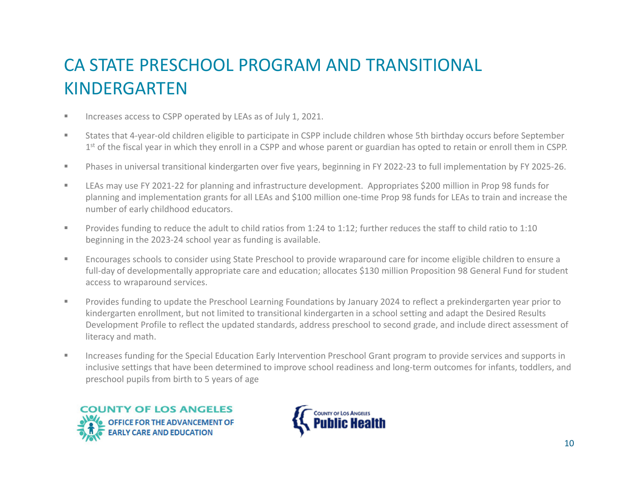#### CA STATE PRESCHOOL PROGRAM AND TRANSITIONAL KINDERGARTEN

- $\blacksquare$ **INCREASES ACCESS to CSPP operated by LEAs as of July 1, 2021.**
- $\mathbf{u}$  States that 4‐year‐old children eligible to participate in CSPP include children whose 5th birthday occurs before September  $1^{\text{st}}$  of the fiscal year in which they enroll in a CSPP and whose parent or guardian has opted to retain or enroll them in CSPP.
- $\mathbf{u}$ ■ Phases in universal transitional kindergarten over five years, beginning in FY 2022-23 to full implementation by FY 2025-26.
- $\mathbf{u}$ LEAs may use FY 2021-22 for planning and infrastructure development. Appropriates \$200 million in Prop 98 funds for planning and implementation grants for all LEAs and \$100 million one‐time Prop 98 funds for LEAs to train and increase the number of early childhood educators.
- $\mathbf{u}$  Provides funding to reduce the adult to child ratios from 1:24 to 1:12; further reduces the staff to child ratio to 1:10 beginning in the 2023‐24 school year as funding is available.
- $\blacksquare$  Encourages schools to consider using State Preschool to provide wraparound care for income eligible children to ensure <sup>a</sup> full-day of developmentally appropriate care and education; allocates \$130 million Proposition 98 General Fund for student access to wraparound services.
- $\mathbf{u}$  Provides funding to update the Preschool Learning Foundations by January 2024 to reflect <sup>a</sup> prekindergarten year prior to kindergarten enrollment, but not limited to transitional kindergarten in <sup>a</sup> school setting and adapt the Desired Results Development Profile to reflect the updated standards, address preschool to second grade, and include direct assessment of literacy and math.
- $\mathbb{R}^n$  Increases funding for the Special Education Early Intervention Preschool Grant program to provide services and supports in inclusive settings that have been determined to improve school readiness and long‐term outcomes for infants, toddlers, and preschool pupils from birth to 5 years of age



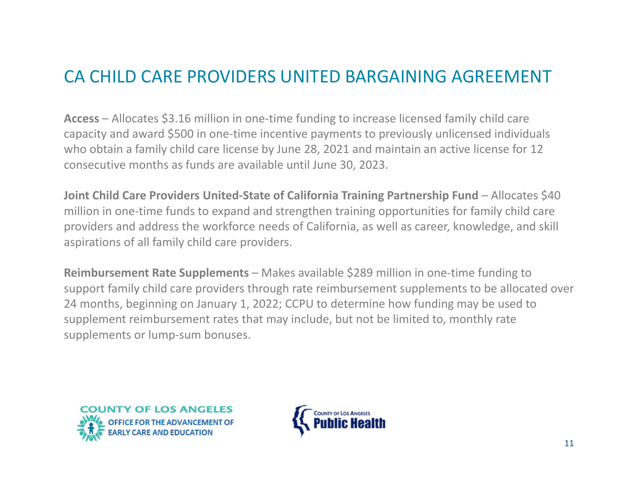#### CA CHILD CARE PROVIDERS UNITED BARGAINING AGREEMENT

**Access** – Allocates \$3.16 million in one‐time funding to increase licensed family child care capacity and award \$500 in one‐time incentive payments to previously unlicensed individuals who obtain <sup>a</sup> family child care license by June 28, 2021 and maintain an active license for 12 consecutive months as funds are available until June 30, 2023.

**Joint Child Care Providers United‐State of California Training Partnership Fund** – Allocates \$40 million in one‐time funds to expand and strengthen training opportunities for family child care providers and address the workforce needs of California, as well as career, knowledge, and skill aspirations of all family child care providers.

**Reimbursement Rate Supplements** – Makes available \$289 million in one‐time funding to support family child care providers through rate reimbursement supplements to be allocated over 24 months, beginning on January 1, 2022; CCPU to determine how funding may be used to supplement reimbursement rates that may include, but not be limited to, monthly rate supplements or lump‐sum bonuses.



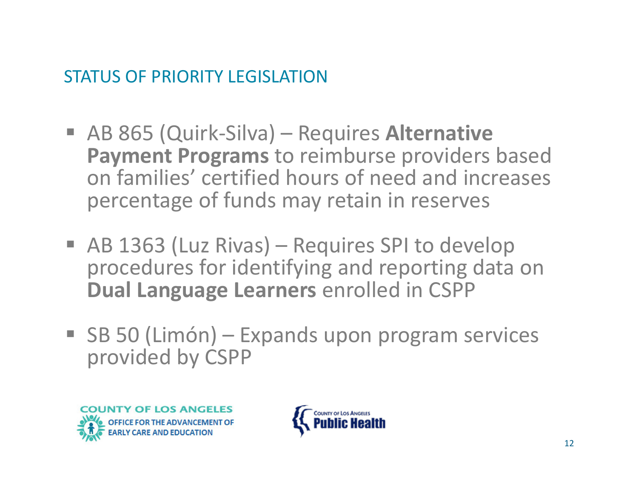#### STATUS OF PRIORITY LEGISLATION

- AB 865 (Quirk-Silva) Requires Alternative **Payment Programs** to reimburse providers based on families' certified hours of need and increases percentage of funds may retain in reserves
- AB 1363 (Luz Rivas) Requires SPI to develop procedures for identifying and reporting data on **Dual Language Learners** enrolled in CSPP
- SB 50 (Limón) Expands upon program services provided by CSPP



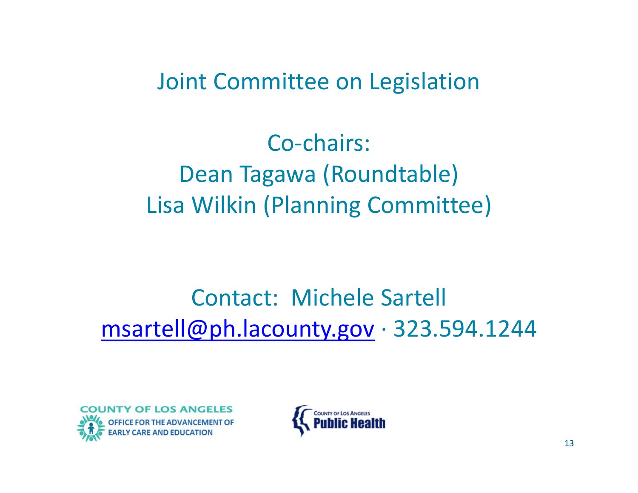Joint Committee on Legislation

Co-chairs: Dean Tagawa (Roundtable) Lisa Wilkin (Planning Committee)

## Contact: Michele Sartell msartell@ph.lacounty.gov <sup>∙</sup>323.594.1244